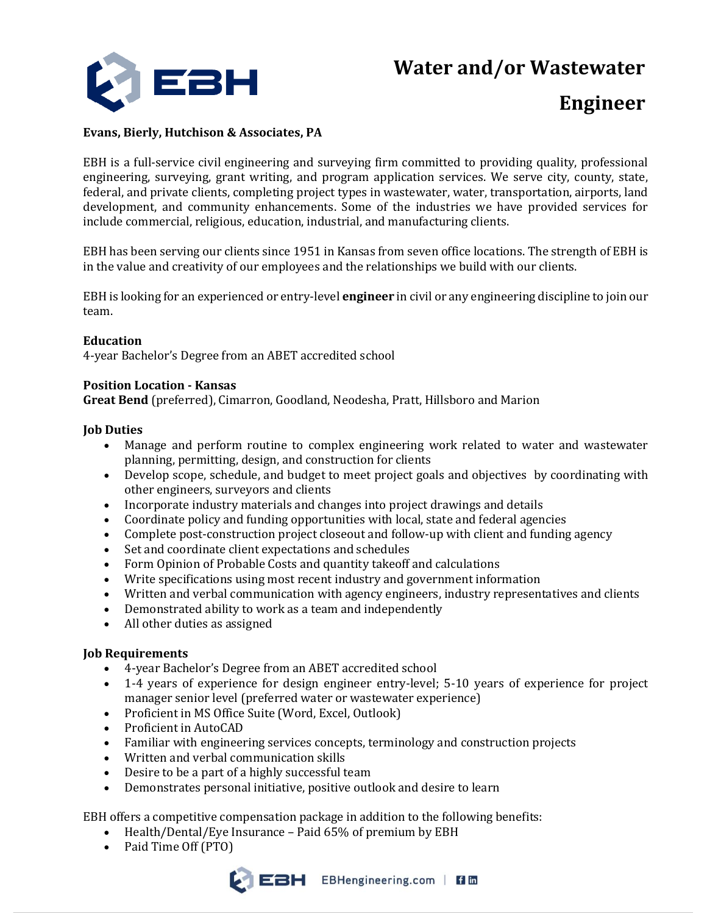**Water and/or Wastewater**



# **Engineer**

## **Evans, Bierly, Hutchison & Associates, PA**

EBH is a full-service civil engineering and surveying firm committed to providing quality, professional engineering, surveying, grant writing, and program application services. We serve city, county, state, federal, and private clients, completing project types in wastewater, water, transportation, airports, land development, and community enhancements. Some of the industries we have provided services for include commercial, religious, education, industrial, and manufacturing clients.

EBH has been serving our clients since 1951 in Kansas from seven office locations. The strength of EBH is in the value and creativity of our employees and the relationships we build with our clients.

EBH is looking for an experienced or entry-level **engineer** in civil or any engineering discipline to join our team.

### **Education**

4-year Bachelor's Degree from an ABET accredited school

### **Position Location - Kansas**

**Great Bend** (preferred), Cimarron, Goodland, Neodesha, Pratt, Hillsboro and Marion

### **Job Duties**

- Manage and perform routine to complex engineering work related to water and wastewater planning, permitting, design, and construction for clients
- Develop scope, schedule, and budget to meet project goals and objectives by coordinating with other engineers, surveyors and clients
- Incorporate industry materials and changes into project drawings and details
- Coordinate policy and funding opportunities with local, state and federal agencies
- Complete post-construction project closeout and follow-up with client and funding agency
- Set and coordinate client expectations and schedules
- Form Opinion of Probable Costs and quantity takeoff and calculations
- Write specifications using most recent industry and government information
- Written and verbal communication with agency engineers, industry representatives and clients
- Demonstrated ability to work as a team and independently
- All other duties as assigned

#### **Job Requirements**

- 4-year Bachelor's Degree from an ABET accredited school
- 1-4 years of experience for design engineer entry-level; 5-10 years of experience for project manager senior level (preferred water or wastewater experience)
- Proficient in MS Office Suite (Word, Excel, Outlook)
- Proficient in AutoCAD
- Familiar with engineering services concepts, terminology and construction projects
- Written and verbal communication skills
- Desire to be a part of a highly successful team
- Demonstrates personal initiative, positive outlook and desire to learn

EBH offers a competitive compensation package in addition to the following benefits:

- Health/Dental/Eye Insurance Paid 65% of premium by EBH
- Paid Time Off (PTO)